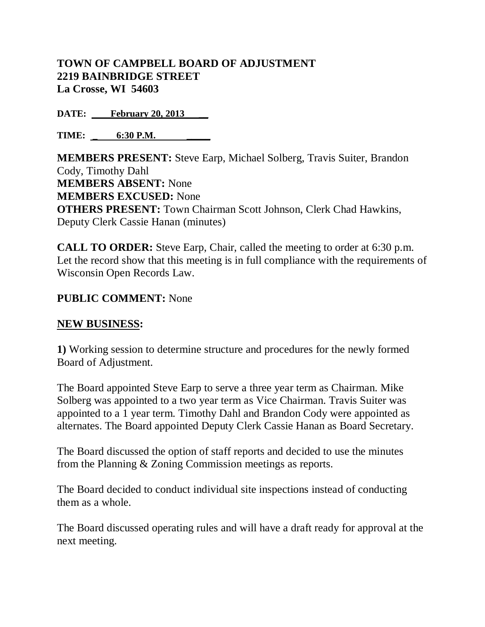## **TOWN OF CAMPBELL BOARD OF ADJUSTMENT 2219 BAINBRIDGE STREET La Crosse, WI 54603**

**DATE:** February 20, 2013

**TIME:**  $6:30$  **P.M.** 

**MEMBERS PRESENT:** Steve Earp, Michael Solberg, Travis Suiter, Brandon Cody, Timothy Dahl **MEMBERS ABSENT:** None **MEMBERS EXCUSED:** None **OTHERS PRESENT:** Town Chairman Scott Johnson, Clerk Chad Hawkins, Deputy Clerk Cassie Hanan (minutes)

**CALL TO ORDER:** Steve Earp, Chair, called the meeting to order at 6:30 p.m. Let the record show that this meeting is in full compliance with the requirements of Wisconsin Open Records Law.

## **PUBLIC COMMENT:** None

## **NEW BUSINESS:**

**1)** Working session to determine structure and procedures for the newly formed Board of Adjustment.

The Board appointed Steve Earp to serve a three year term as Chairman. Mike Solberg was appointed to a two year term as Vice Chairman. Travis Suiter was appointed to a 1 year term. Timothy Dahl and Brandon Cody were appointed as alternates. The Board appointed Deputy Clerk Cassie Hanan as Board Secretary.

The Board discussed the option of staff reports and decided to use the minutes from the Planning & Zoning Commission meetings as reports.

The Board decided to conduct individual site inspections instead of conducting them as a whole.

The Board discussed operating rules and will have a draft ready for approval at the next meeting.